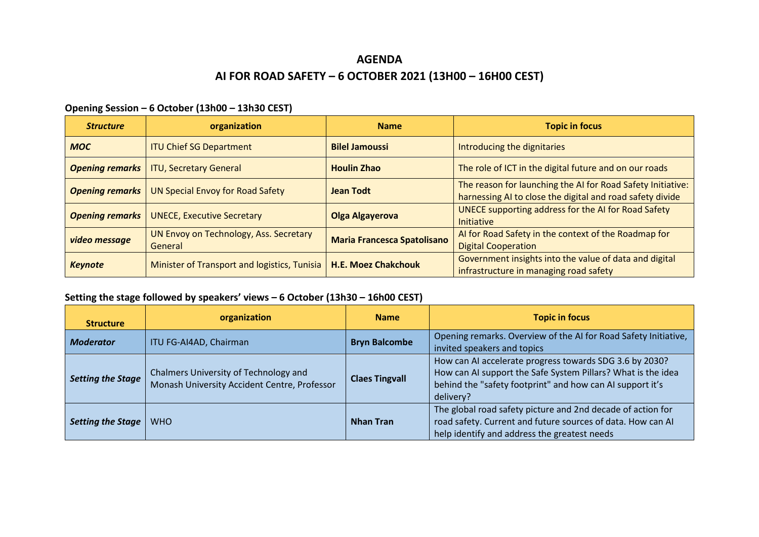## **AGENDA AI FOR ROAD SAFETY – 6 OCTOBER 2021 (13H00 – 16H00 CEST)**

## **Opening Session – 6 October (13h00 – 13h30 CEST)**

| <b>Structure</b>       | organization                                      | <b>Name</b>                        | <b>Topic in focus</b>                                                                                                    |
|------------------------|---------------------------------------------------|------------------------------------|--------------------------------------------------------------------------------------------------------------------------|
| <b>MOC</b>             | <b>ITU Chief SG Department</b>                    | <b>Bilel Jamoussi</b>              | Introducing the dignitaries                                                                                              |
| <b>Opening remarks</b> | <b>ITU, Secretary General</b>                     | <b>Houlin Zhao</b>                 | The role of ICT in the digital future and on our roads                                                                   |
| <b>Opening remarks</b> | <b>UN Special Envoy for Road Safety</b>           | <b>Jean Todt</b>                   | The reason for launching the AI for Road Safety Initiative:<br>harnessing AI to close the digital and road safety divide |
| <b>Opening remarks</b> | <b>UNECE, Executive Secretary</b>                 | Olga Algayerova                    | <b>UNECE supporting address for the AI for Road Safety</b><br><b>Initiative</b>                                          |
| video message          | UN Envoy on Technology, Ass. Secretary<br>General | <b>Maria Francesca Spatolisano</b> | Al for Road Safety in the context of the Roadmap for<br><b>Digital Cooperation</b>                                       |
| <b>Keynote</b>         | Minister of Transport and logistics, Tunisia      | <b>H.E. Moez Chakchouk</b>         | Government insights into the value of data and digital<br>infrastructure in managing road safety                         |

## **Setting the stage followed by speakers' views – 6 October (13h30 – 16h00 CEST)**

| <b>Structure</b>         | organization                                                                          | <b>Name</b>           | <b>Topic in focus</b>                                                                                                                                                                             |
|--------------------------|---------------------------------------------------------------------------------------|-----------------------|---------------------------------------------------------------------------------------------------------------------------------------------------------------------------------------------------|
| <b>Moderator</b>         | ITU FG-AI4AD, Chairman                                                                | <b>Bryn Balcombe</b>  | Opening remarks. Overview of the AI for Road Safety Initiative,<br>invited speakers and topics                                                                                                    |
| <b>Setting the Stage</b> | Chalmers University of Technology and<br>Monash University Accident Centre, Professor | <b>Claes Tingvall</b> | How can AI accelerate progress towards SDG 3.6 by 2030?<br>How can AI support the Safe System Pillars? What is the idea<br>behind the "safety footprint" and how can AI support it's<br>delivery? |
| <b>Setting the Stage</b> | <b>WHO</b>                                                                            | <b>Nhan Tran</b>      | The global road safety picture and 2nd decade of action for<br>road safety. Current and future sources of data. How can AI<br>help identify and address the greatest needs                        |